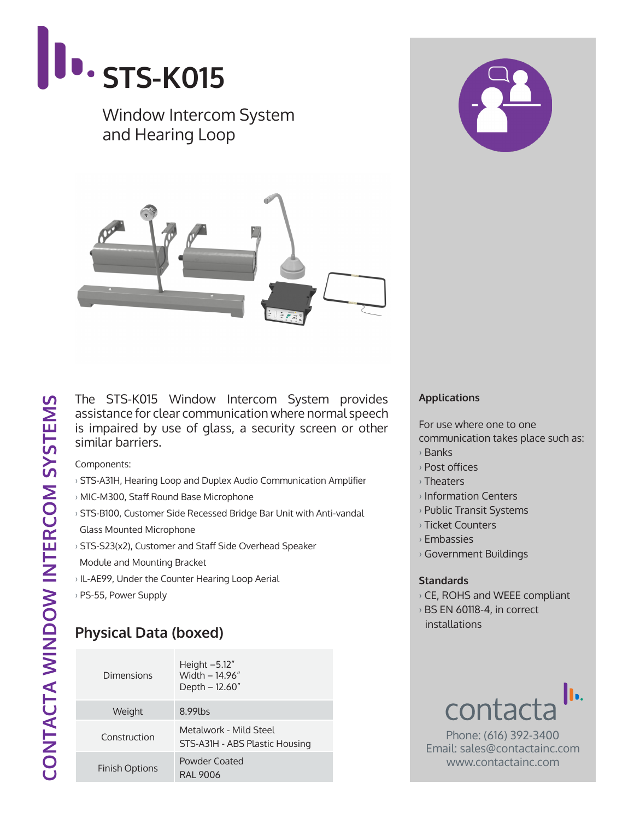

The STS-K015 Window Intercom System provides assistance for clear communication where normal speech is impaired by use of glass, a security screen or other similar barriers.

Components:

- › STS-A31H, Hearing Loop and Duplex Audio Communication Amplifier
- › MIC-M300, Staff Round Base Microphone
- › STS-B100, Customer Side Recessed Bridge Bar Unit with Anti-vandal Glass Mounted Microphone
- › STS-S23(x2), Customer and Staff Side Overhead Speaker Module and Mounting Bracket
- › IL-AE99, Under the Counter Hearing Loop Aerial
- › PS-55, Power Supply

## **Physical Data (boxed)**

| Dimensions            | Height $-5.12"$<br>Width - 14 96"<br>Depth – 12.60"      |  |
|-----------------------|----------------------------------------------------------|--|
| Weight                | 8.99 lbs                                                 |  |
| Construction          | Metalwork - Mild Steel<br>STS-A31H - ABS Plastic Housing |  |
| <b>Finish Options</b> | Powder Coated<br>RAI 9006                                |  |

## **Applications**

For use where one to one communication takes place such as:

- › Banks
- › Post offices
- › Theaters
- › Information Centers
- › Public Transit Systems
- › Ticket Counters
- › Embassies
- › Government Buildings

## **Standards**

- › CE, ROHS and WEEE compliant
- › BS EN 60118-4, in correct installations



Phone: (616) 392-3400 Email: sales@contactainc.com www.contactainc.com